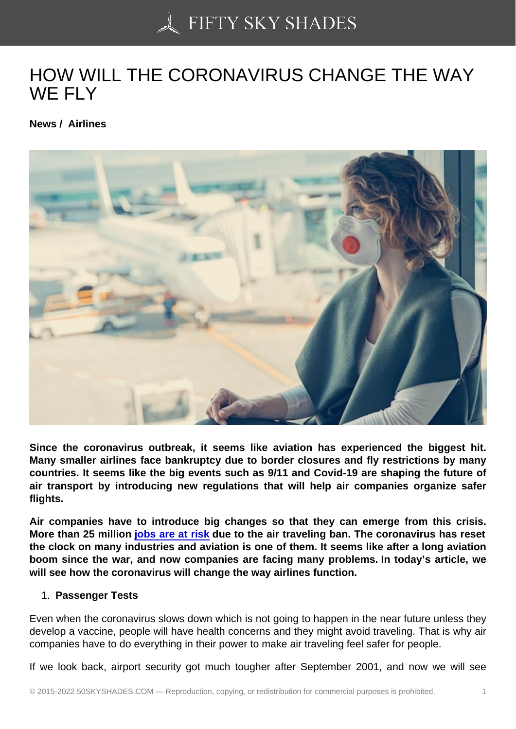## [HOW WILL THE CORO](https://50skyshades.com)NAVIRUS CHANGE THE WAY WF FLY

News / Airlines

Since the coronavirus outbreak, it seems like aviation has experienced the biggest hit. Many smaller airlines face bankruptcy due to border closures and fly restrictions by many countries. It seems like the big events such as 9/11 and Covid-19 are shaping the future of air transport by introducing new regulations that will help air companies organize safer flights.

Air companies have to introduce big changes so that they can emerge from this crisis. More than 25 million jobs are at risk due to the air traveling ban. The coronavirus has reset the clock on many industries and aviation is one of them. It seems like after a long aviation boom since the war, and now companies are facing many problems. In today's article, we will see how the coron[avirus will change](https://www.bloomberg.com/news/articles/2020-04-08/asia-pacific-jobs-are-most-at-risk-in-aviation-crisis-chart) the way airlines function.

## 1. Passenger Tests

Even when the coronavirus slows down which is not going to happen in the near future unless they develop a vaccine, people will have health concerns and they might avoid traveling. That is why air companies have to do everything in their power to make air traveling feel safer for people.

If we look back, airport security got much tougher after September 2001, and now we will see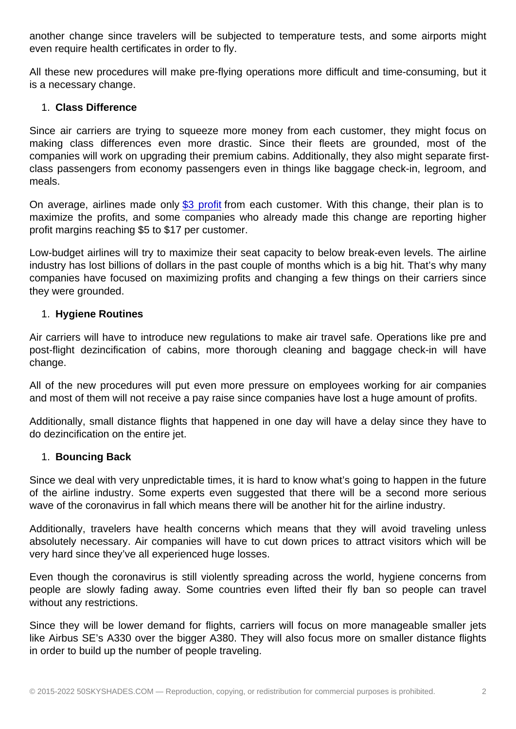even require health certificates in order to fly.

All these new procedures will make pre-flying operations more difficult and time-consuming, but it is a necessary change.

1. Class Difference

Since air carriers are trying to squeeze more money from each customer, they might focus on making class differences even more drastic. Since their fleets are grounded, most of the companies will work on upgrading their premium cabins. Additionally, they also might separate firstclass passengers from economy passengers even in things like baggage check-in, legroom, and meals.

On average, airlines made only \$3 profit from each customer. With this change, their plan is to maximize the profits, and some companies who already made this change are reporting higher profit margins reaching \$5 to \$17 per customer.

Low-budget airlines will try to m[aximize th](https://www.iata.org/en/iata-repository/publications/economic-reports/airline-industry-economic-performance---december-2019---report/)eir seat capacity to below break-even levels. The airline industry has lost billions of dollars in the past couple of months which is a big hit. That's why many companies have focused on maximizing profits and changing a few things on their carriers since they were grounded.

1. Hygiene Routines

Air carriers will have to introduce new regulations to make air travel safe. Operations like pre and post-flight dezincification of cabins, more thorough cleaning and baggage check-in will have change.

All of the new procedures will put even more pressure on employees working for air companies and most of them will not receive a pay raise since companies have lost a huge amount of profits.

Additionally, small distance flights that happened in one day will have a delay since they have to do dezincification on the entire jet.

1. Bouncing Back

Since we deal with very unpredictable times, it is hard to know what's going to happen in the future of the airline industry. Some experts even suggested that there will be a second more serious wave of the coronavirus in fall which means there will be another hit for the airline industry.

Additionally, travelers have health concerns which means that they will avoid traveling unless absolutely necessary. Air companies will have to cut down prices to attract visitors which will be very hard since they've all experienced huge losses.

Even though the coronavirus is still violently spreading across the world, hygiene concerns from people are slowly fading away. Some countries even lifted their fly ban so people can travel without any restrictions.

Since they will be lower demand for flights, carriers will focus on more manageable smaller jets like Airbus SE's A330 over the bigger A380. They will also focus more on smaller distance flights in order to build up the number of people traveling.